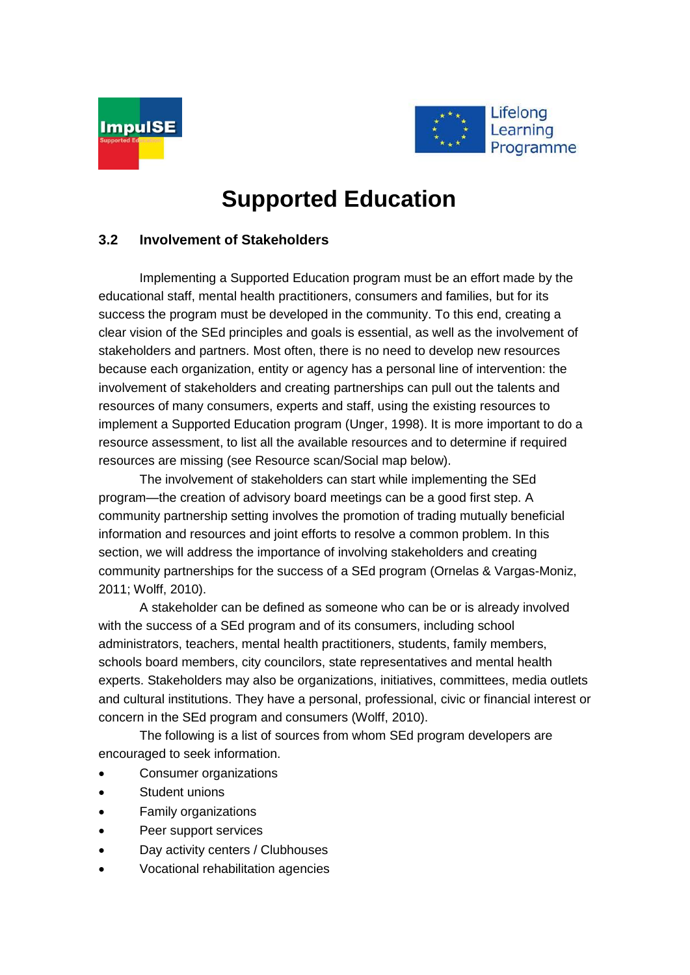



# **Supported Education**

### **3.2 Involvement of Stakeholders**

Implementing a Supported Education program must be an effort made by the educational staff, mental health practitioners, consumers and families, but for its success the program must be developed in the community. To this end, creating a clear vision of the SEd principles and goals is essential, as well as the involvement of stakeholders and partners. Most often, there is no need to develop new resources because each organization, entity or agency has a personal line of intervention: the involvement of stakeholders and creating partnerships can pull out the talents and resources of many consumers, experts and staff, using the existing resources to implement a Supported Education program (Unger, 1998). It is more important to do a resource assessment, to list all the available resources and to determine if required resources are missing (see Resource scan/Social map below).

The involvement of stakeholders can start while implementing the SEd program—the creation of advisory board meetings can be a good first step. A community partnership setting involves the promotion of trading mutually beneficial information and resources and joint efforts to resolve a common problem. In this section, we will address the importance of involving stakeholders and creating community partnerships for the success of a SEd program (Ornelas & Vargas-Moniz, 2011; Wolff, 2010).

A stakeholder can be defined as someone who can be or is already involved with the success of a SEd program and of its consumers, including school administrators, teachers, mental health practitioners, students, family members, schools board members, city councilors, state representatives and mental health experts. Stakeholders may also be organizations, initiatives, committees, media outlets and cultural institutions. They have a personal, professional, civic or financial interest or concern in the SEd program and consumers (Wolff, 2010).

The following is a list of sources from whom SEd program developers are encouraged to seek information.

- Consumer organizations
- Student unions
- Family organizations
- Peer support services
- Day activity centers / Clubhouses
- Vocational rehabilitation agencies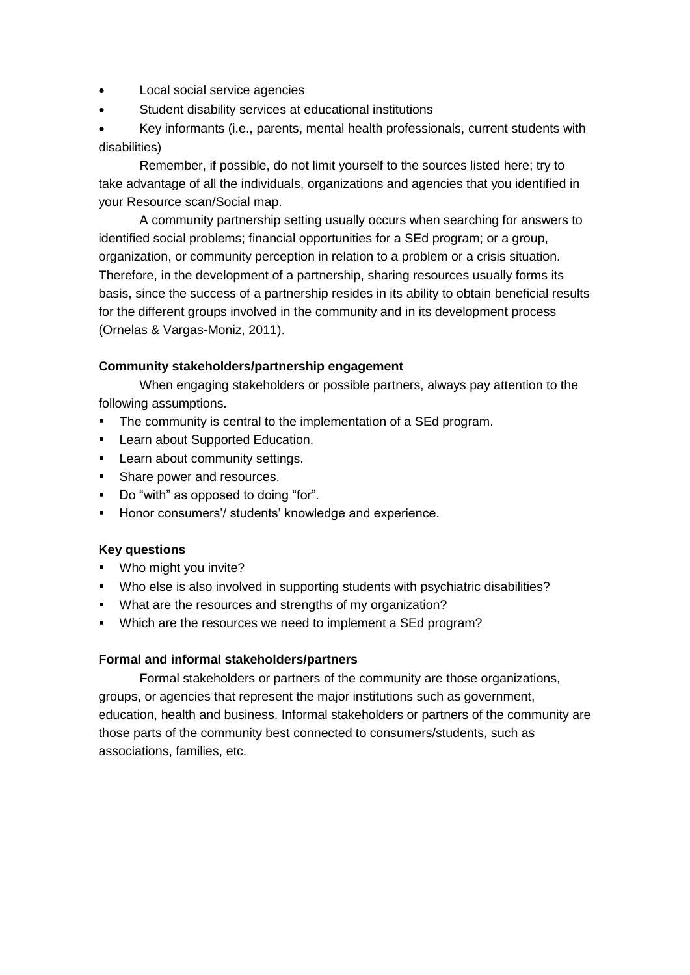- Local social service agencies
- Student disability services at educational institutions

 Key informants (i.e., parents, mental health professionals, current students with disabilities)

Remember, if possible, do not limit yourself to the sources listed here; try to take advantage of all the individuals, organizations and agencies that you identified in your Resource scan/Social map.

A community partnership setting usually occurs when searching for answers to identified social problems; financial opportunities for a SEd program; or a group, organization, or community perception in relation to a problem or a crisis situation. Therefore, in the development of a partnership, sharing resources usually forms its basis, since the success of a partnership resides in its ability to obtain beneficial results for the different groups involved in the community and in its development process (Ornelas & Vargas-Moniz, 2011).

#### **Community stakeholders/partnership engagement**

When engaging stakeholders or possible partners, always pay attention to the following assumptions.

- The community is central to the implementation of a SEd program.
- **EXEC** Learn about Supported Education.
- **Learn about community settings.**
- **Share power and resources.**
- Do "with" as opposed to doing "for".
- **Honor consumers'/ students' knowledge and experience.**

#### **Key questions**

- Who might you invite?
- Who else is also involved in supporting students with psychiatric disabilities?
- What are the resources and strengths of my organization?
- **Which are the resources we need to implement a SEd program?**

#### **Formal and informal stakeholders/partners**

Formal stakeholders or partners of the community are those organizations, groups, or agencies that represent the major institutions such as government, education, health and business. Informal stakeholders or partners of the community are those parts of the community best connected to consumers/students, such as associations, families, etc.